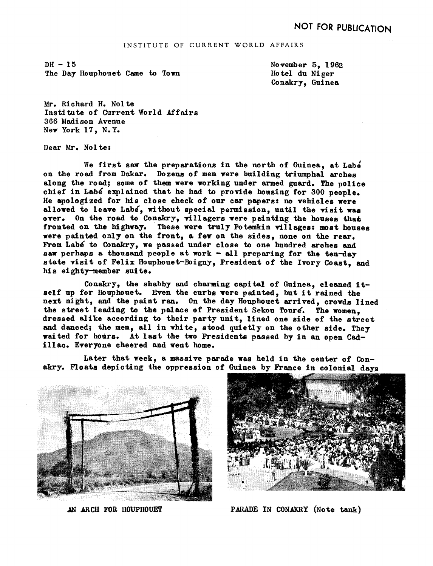$DH - 15$ The Day Houphouet Came to Town November 5, 1962 Ho tel du Ni ger Conakry, Guinea

Mr. Richard H. Nolte Institute of Current World Affairs 366 Madison Avenue New York 17. N.Y.

Dear Mr. No1 te

We first saw the preparations in the north of Guinea, at Labe on the road from Dakar. Dozens of men were building triumphal arches along the road: some of them were working under armed guard. The police chief in Labé explained that he had to provide housing for 300 people. He apologized for his close check of our car papers: no vehicles were allowed to leave Labe, without special permission, until the visit was over. On the road to Conakry, villagers were painting the houses that fronted on the highway. These were truly Potemkin villages: most houses were painted only on the front, a few on the sides, none on the rear. From Labé to Conakry, we passed under close to one hundred arches and saw perhaps a thousand people at work  $-$  all preparing for the ten-day state visit of Felix Houphouet-Boigny, President of the Ivory Coast, and his eighty-member suite.

Conakry, the shabby and charming capital of Guinea, cleaned itself up for Houphouet. Even the curbs were painted, but it rained the next night, and the paint ran. On the day Houphouet arrived, crowds lined the street Ieading to the palace of President Sekou Toure. The women. dressed alike according to their party unit, lined one side of the street and danced; the men, all in white, stood quietly on the other side. They wited for hours. At last the two Presidents passed by in an open Cadillac. Everyone cheered and went home.

Later that week, a massive paxade was held in the center of Conakry. Floats depicting the oppression of 6utnea by France in colonial days





AN ARCH FOR HOUPHOUET PARADE IN CONAKRY (Note tank)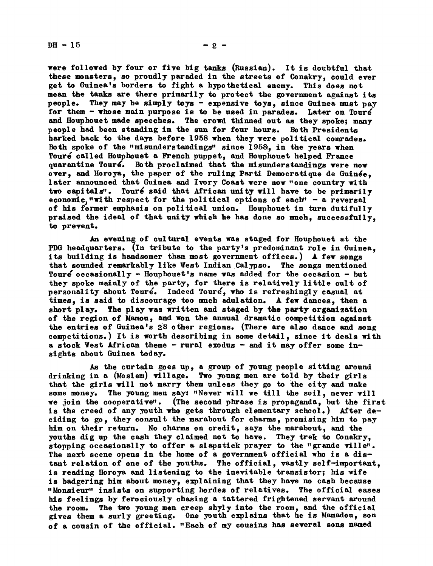$DH - 15$  -2 -

were followed by four or five big tanks (Russian). It is doubtful that these monsters, so proudly paraded in the streets of Conakry, could ever get to Guinea's borders to fight a hypothetical enemy. This does not mean the tanks are there primarily to protect the government against its people. They may be simply toys - expensive toys, since Guinea must pay for them  $-$  whose main purpose is to be used in parades. Later on Touré and Houphouet made speeches. The crowd thinned out as they spoke; many people had been standing in the sun for four hours. Both Presidents harked back to the days before 1958 when they were political comrades. Both spoke of the "misunderstandings" since 1958, in the years when Touré called Houphouet a French puppet, and Houphouet helped France quarantine Touré. Both proclaimed that the misunderstandings were now over, and Horoya, the paper of the ruling Parti Democratique de Guinée. later announced that Guinea and Ivory Coast were now "one country with two capitals". Touré said that African unity will have to be primarily economic, "with respect for the political options of each"  $-$  a reversal of his former emphasis on political union. Houphouet in turn dutifulIy praised the ideal of that unity which he has done so much, successfully, to prevent.

An evening of cultural events was staged for Houphouet at the PDG headquarters. (In tribute to the party's predominant role in Guinea, its building is handsomer than most government offices.) A few songs that sounded remarkably like West Indian Calypso. The songs mentioned Toure occasionally - Houphouet's name was added for the occasion - but they spoke mainly of the party, for there is relatively little cult of personality about Toure. Indeed Toure, who is refreshingly casual at times, is said to discourage too much adulation. A few dances, then a short play. The play was written and staged by the party organization of the region of Mamou, and won the annual dramatic competition against the entries of Guinea's 28 other regions (There are also dance and song competitions.) It is worth describing in some detail since it deals with a stock West African theme - rural exodus - and it may offer some insights about Guinea today.

As the curtain goes up, a group of young people sitting around drinking in a (Moslem) village. Two young men are told by their girls that the girls will not marry them unless they go to the city and make some money. The young men say: "Never will we till the soil, never will we join the cooperative". (The second phrase is propaganda, but the first is the creed of any youth who gets through elementary school.) After deciding to go, they consult the mexabout for charms, promising him to pay him on their return. No charms on credit, says the marabout, and the youths dig up the cash they claimed not to have. They trek to Conakry, stopping occasionally to offer a slapstick prayer to the "grande ville". The next scene opens in the home of a government official who is a distant relation of one of the youths. The official, vastly self-important. is reading Horoya and listening to the inevitable transistor; his wife is badgering him about money, explaining that they have no cash because -Monsieur' insists on supporting hordes of relatives. The official eases his feelings by ferociously chasing a tattered frightened servant around the room. The two young men creep shyly into the room, and the official gives them a surly greeting. One youth explains that he is Mamadou, son of a cousin of the official. "Ech of my cousins has several sons named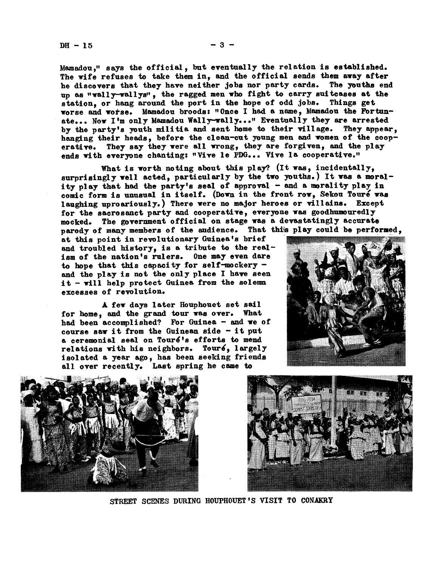Mamadou," says the official, but eventually the relation is established. The wife refuses to take them in, and the official sends them away after he discovers that they have neither jobs nor party cards. The youths end up as "wally-wallys", the ragged men who fight to carry suitcases at the station, or hang around the port in the hope of odd jobs. Things get worse and worse. Mamadou broods "Once Ihad a name, biamadou the Fortunate... Now I'm only Mamadou Wally-wally..." Eventually they are arrested by the party's youth militia and sent home to their village. They appear. hanging their heads, before the clean-cut young men and women of the cooperative. They say they were all wrong, they are forgiven, and the play ends with everyone chanting: "Vive le PDG... Vive la cooperative."

What is worth noting about this play? (It was, incidentally, surprisingly well acted, particularly by the two youths.) It was a morality play that had the party's seal of approval - and a morality play in comic form is unusual in itself. (Down in the front row, Sekou Touré was laughing uproariously.) There were no major heroes or villains. Except for the sacrosanct party and cooperative, everyone was goodhumouredly mocked. The government official on stage was a devastatingly accurate parody of many members of the audience. That this play could be performed.

at this point in revolutionary Guinea\*s brief and troubled history, is a tribute to the realism of the nation's rulers. One may even dare to hope that this capacity for self-mockery and the play is not the only place I have seen  $it$  - will help protect Guinea from the solemn excesses of revolution

A few days later Houphouet set sail for home, and the grand tour was over. What had been accomplished? For Guinea  $-$  and we of course saw it from the Guinean side  $-$  it put a ceremonial seal on Touré's efforts to mend relations with his neighbors. Touré, largely isolated a year ago, has been seeking friends all over recently. Last spring he came to







STREET SCENES DURING HOUPHOUET 'S VISIT TO CONAKRY